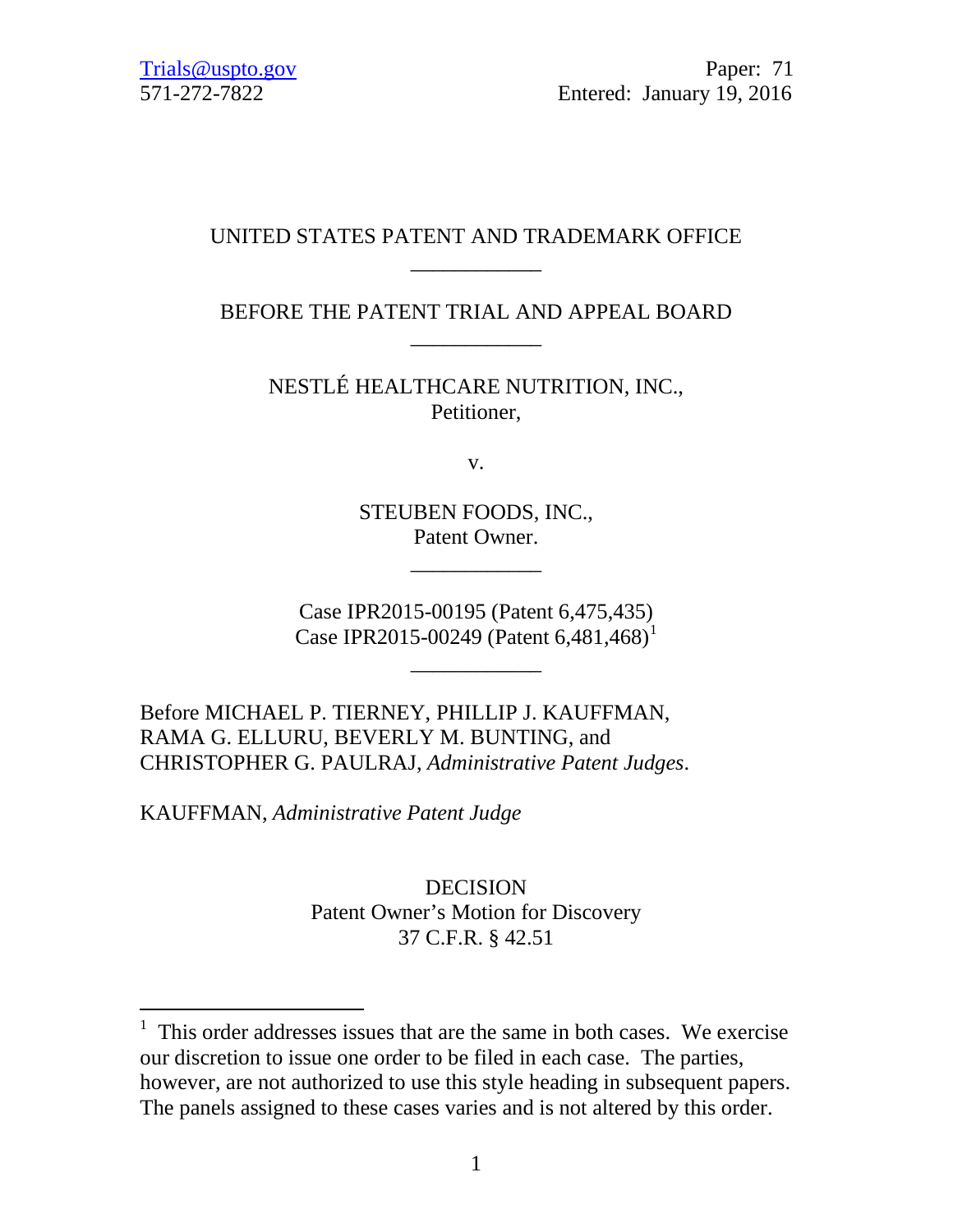# UNITED STATES PATENT AND TRADEMARK OFFICE \_\_\_\_\_\_\_\_\_\_\_\_

BEFORE THE PATENT TRIAL AND APPEAL BOARD \_\_\_\_\_\_\_\_\_\_\_\_

NESTLÉ HEALTHCARE NUTRITION, INC., Petitioner,

v.

STEUBEN FOODS, INC., Patent Owner.

\_\_\_\_\_\_\_\_\_\_\_\_

Case IPR2015-00195 (Patent 6,475,435) Case IPR20[1](#page-0-0)5-00249 (Patent 6,481,468)<sup>1</sup>

\_\_\_\_\_\_\_\_\_\_\_\_

Before MICHAEL P. TIERNEY, PHILLIP J. KAUFFMAN, RAMA G. ELLURU, BEVERLY M. BUNTING, and CHRISTOPHER G. PAULRAJ, *Administrative Patent Judges*.

KAUFFMAN, *Administrative Patent Judge*

DECISION Patent Owner's Motion for Discovery 37 C.F.R. § 42.51

<span id="page-0-0"></span> $\frac{1}{1}$  This order addresses issues that are the same in both cases. We exercise our discretion to issue one order to be filed in each case. The parties, however, are not authorized to use this style heading in subsequent papers. The panels assigned to these cases varies and is not altered by this order.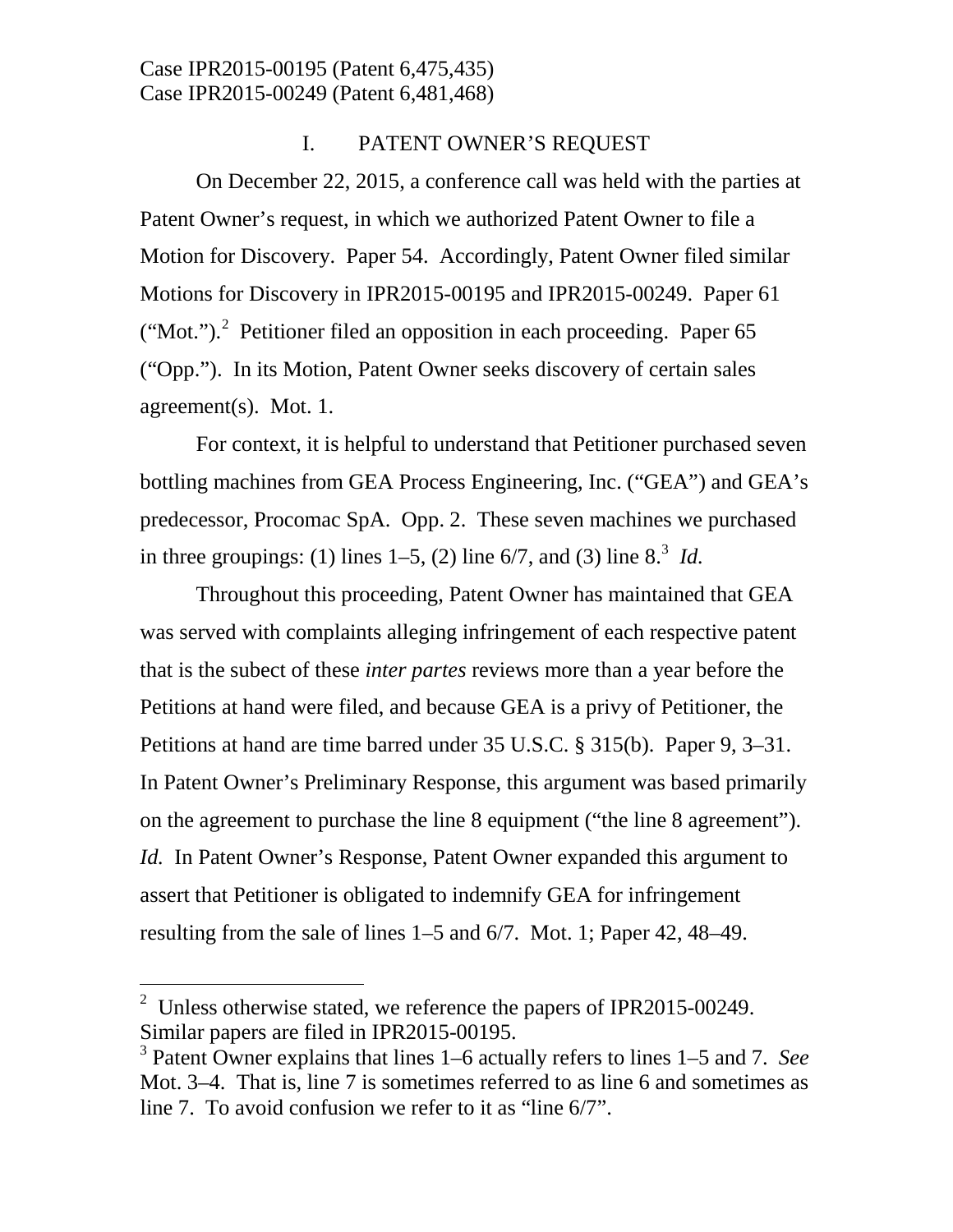# I. PATENT OWNER'S REQUEST

On December 22, 2015, a conference call was held with the parties at Patent Owner's request, in which we authorized Patent Owner to file a Motion for Discovery. Paper 54. Accordingly, Patent Owner filed similar Motions for Discovery in IPR2015-00195 and IPR2015-00249. Paper 61 ("Mot.").<sup>[2](#page-1-0)</sup> Petitioner filed an opposition in each proceeding. Paper  $65$ ("Opp."). In its Motion, Patent Owner seeks discovery of certain sales agreement(s). Mot. 1.

For context, it is helpful to understand that Petitioner purchased seven bottling machines from GEA Process Engineering, Inc. ("GEA") and GEA's predecessor, Procomac SpA. Opp. 2. These seven machines we purchased in three groupings: (1) lines  $1-5$ , (2) line  $6/7$ , and ([3](#page-1-1)) line  $8<sup>3</sup>$  *Id.* 

Throughout this proceeding, Patent Owner has maintained that GEA was served with complaints alleging infringement of each respective patent that is the subect of these *inter partes* reviews more than a year before the Petitions at hand were filed, and because GEA is a privy of Petitioner, the Petitions at hand are time barred under 35 U.S.C. § 315(b). Paper 9, 3–31. In Patent Owner's Preliminary Response, this argument was based primarily on the agreement to purchase the line 8 equipment ("the line 8 agreement"). *Id.* In Patent Owner's Response, Patent Owner expanded this argument to assert that Petitioner is obligated to indemnify GEA for infringement resulting from the sale of lines 1–5 and 6/7. Mot. 1; Paper 42, 48–49.

<span id="page-1-0"></span><sup>&</sup>lt;sup>2</sup> Unless otherwise stated, we reference the papers of IPR2015-00249. Similar papers are filed in IPR2015-00195.<br><sup>3</sup> Patent Owner explains that lines 1–6 actually refers to lines 1–5 and 7. *See* 

<span id="page-1-1"></span>Mot. 3–4. That is, line 7 is sometimes referred to as line 6 and sometimes as line 7. To avoid confusion we refer to it as "line 6/7".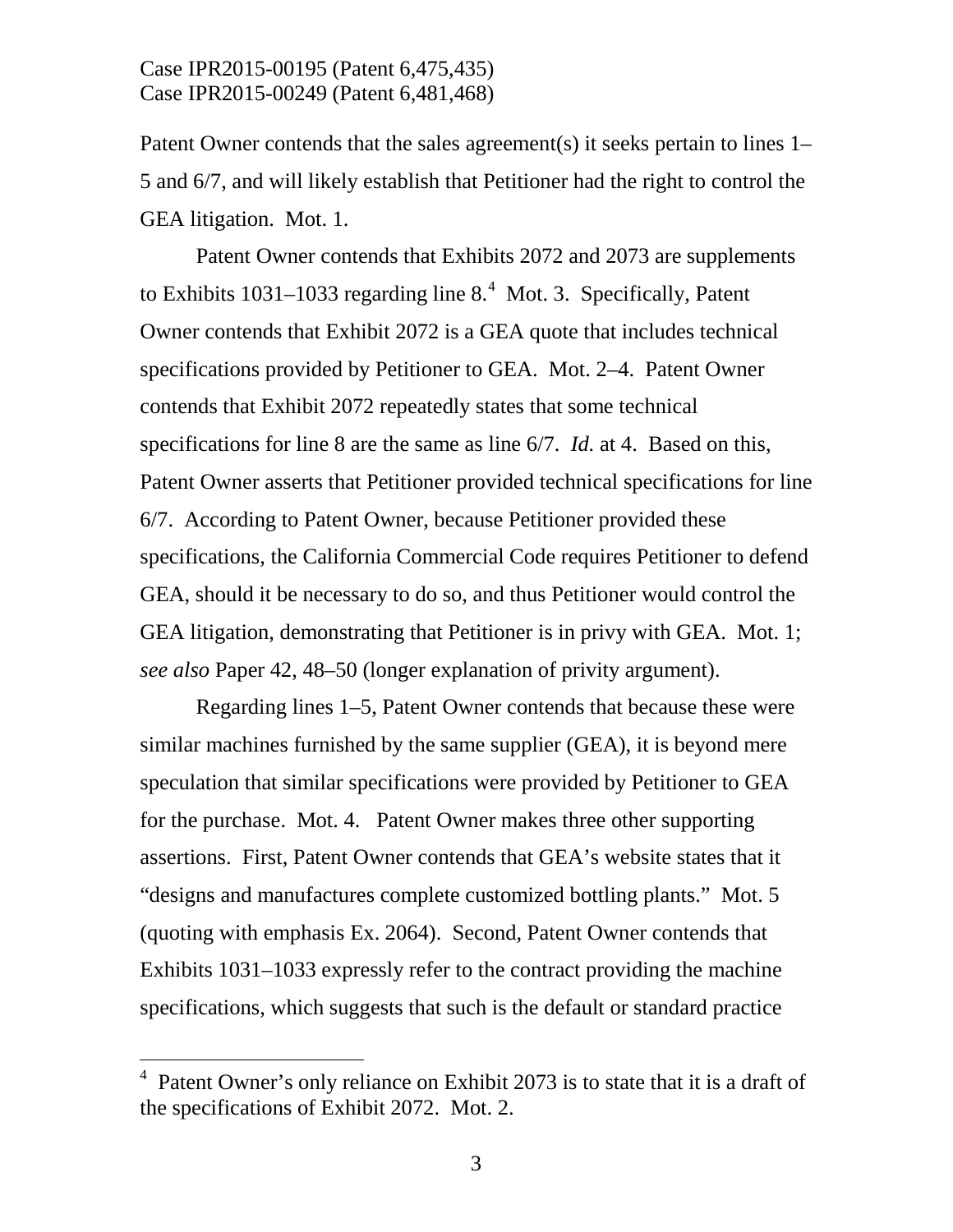Patent Owner contends that the sales agreement(s) it seeks pertain to lines 1– 5 and 6/7, and will likely establish that Petitioner had the right to control the GEA litigation. Mot. 1.

Patent Owner contends that Exhibits 2072 and 2073 are supplements to Exhibits  $1031-1033$  regarding line 8. $4$  Mot. 3. Specifically, Patent Owner contends that Exhibit 2072 is a GEA quote that includes technical specifications provided by Petitioner to GEA. Mot. 2–4. Patent Owner contends that Exhibit 2072 repeatedly states that some technical specifications for line 8 are the same as line 6/7. *Id.* at 4. Based on this, Patent Owner asserts that Petitioner provided technical specifications for line 6/7. According to Patent Owner, because Petitioner provided these specifications, the California Commercial Code requires Petitioner to defend GEA, should it be necessary to do so, and thus Petitioner would control the GEA litigation, demonstrating that Petitioner is in privy with GEA. Mot. 1; *see also* Paper 42, 48–50 (longer explanation of privity argument).

Regarding lines 1–5, Patent Owner contends that because these were similar machines furnished by the same supplier (GEA), it is beyond mere speculation that similar specifications were provided by Petitioner to GEA for the purchase. Mot. 4. Patent Owner makes three other supporting assertions. First, Patent Owner contends that GEA's website states that it "designs and manufactures complete customized bottling plants." Mot. 5 (quoting with emphasis Ex. 2064). Second, Patent Owner contends that Exhibits 1031–1033 expressly refer to the contract providing the machine specifications, which suggests that such is the default or standard practice

<span id="page-2-0"></span> $\frac{1}{4}$  Patent Owner's only reliance on Exhibit 2073 is to state that it is a draft of the specifications of Exhibit 2072. Mot. 2.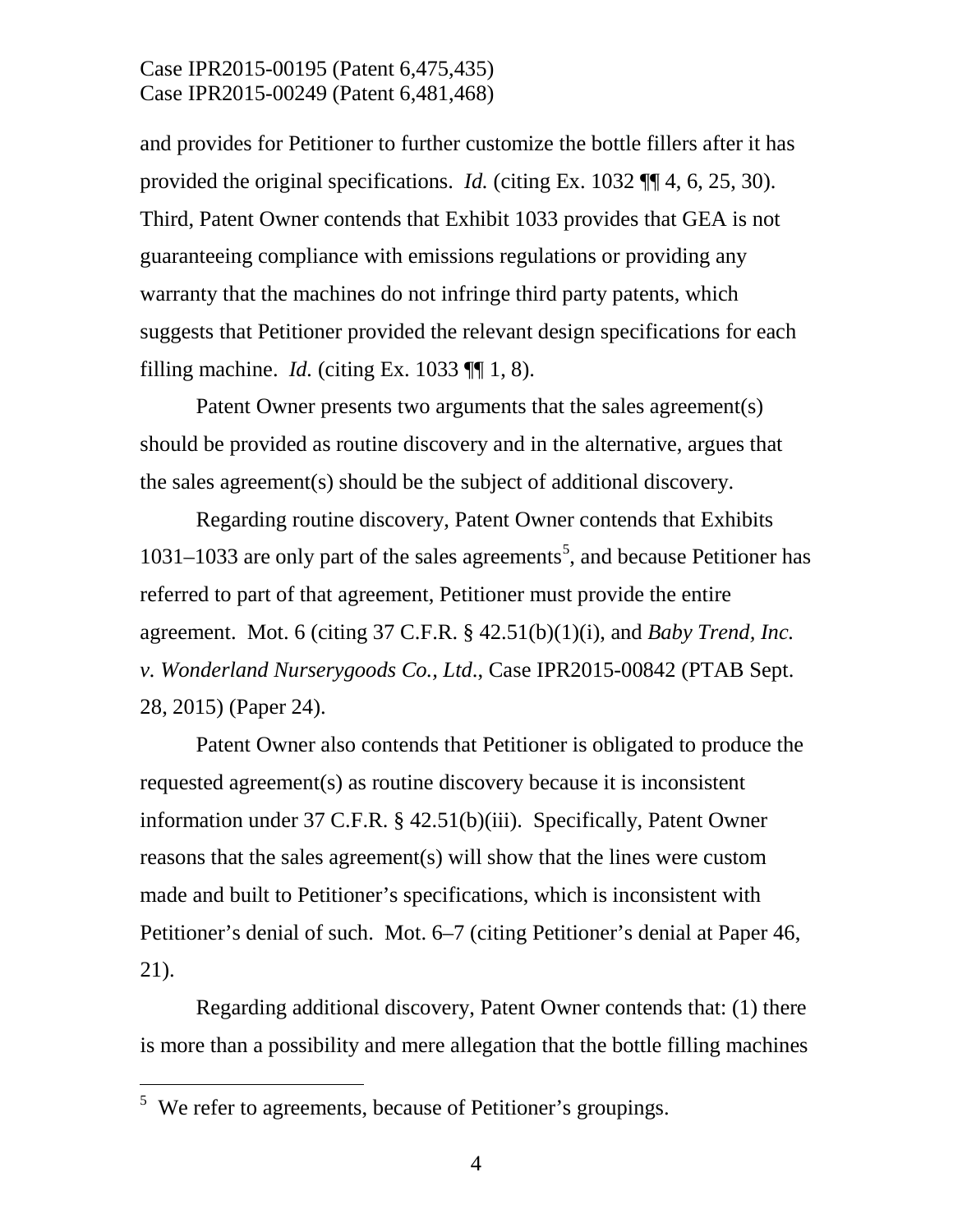and provides for Petitioner to further customize the bottle fillers after it has provided the original specifications. *Id.* (citing Ex. 1032 ¶¶ 4, 6, 25, 30). Third, Patent Owner contends that Exhibit 1033 provides that GEA is not guaranteeing compliance with emissions regulations or providing any warranty that the machines do not infringe third party patents, which suggests that Petitioner provided the relevant design specifications for each filling machine. *Id.* (citing Ex. 1033  $\P\P$  1, 8).

Patent Owner presents two arguments that the sales agreement(s) should be provided as routine discovery and in the alternative, argues that the sales agreement(s) should be the subject of additional discovery.

Regarding routine discovery, Patent Owner contends that Exhibits 1031–1033 are only part of the sales agreements [5](#page-3-0) , and because Petitioner has referred to part of that agreement, Petitioner must provide the entire agreement. Mot. 6 (citing 37 C.F.R. § 42.51(b)(1)(i), and *Baby Trend, Inc. v. Wonderland Nurserygoods Co., Ltd*., Case IPR2015-00842 (PTAB Sept. 28, 2015) (Paper 24).

Patent Owner also contends that Petitioner is obligated to produce the requested agreement(s) as routine discovery because it is inconsistent information under 37 C.F.R. § 42.51(b)(iii). Specifically, Patent Owner reasons that the sales agreement(s) will show that the lines were custom made and built to Petitioner's specifications, which is inconsistent with Petitioner's denial of such. Mot. 6–7 (citing Petitioner's denial at Paper 46, 21).

Regarding additional discovery, Patent Owner contends that: (1) there is more than a possibility and mere allegation that the bottle filling machines

<span id="page-3-0"></span><sup>&</sup>lt;sup>5</sup> We refer to agreements, because of Petitioner's groupings.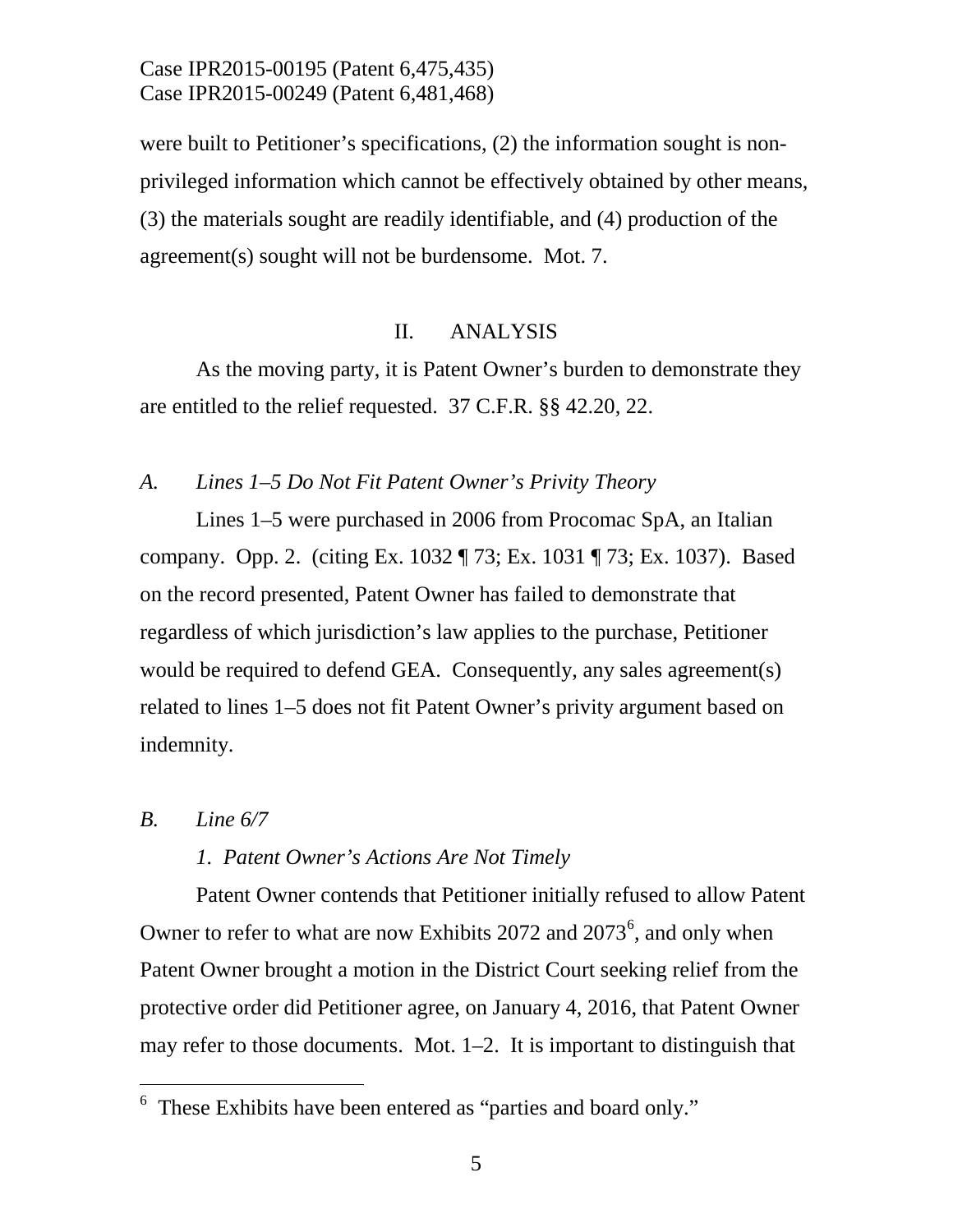were built to Petitioner's specifications, (2) the information sought is nonprivileged information which cannot be effectively obtained by other means, (3) the materials sought are readily identifiable, and (4) production of the agreement(s) sought will not be burdensome. Mot. 7.

## II. ANALYSIS

As the moving party, it is Patent Owner's burden to demonstrate they are entitled to the relief requested. 37 C.F.R. §§ 42.20, 22.

### *A. Lines 1–5 Do Not Fit Patent Owner's Privity Theory*

Lines 1–5 were purchased in 2006 from Procomac SpA, an Italian company. Opp. 2. (citing Ex. 1032 ¶ 73; Ex. 1031 ¶ 73; Ex. 1037). Based on the record presented, Patent Owner has failed to demonstrate that regardless of which jurisdiction's law applies to the purchase, Petitioner would be required to defend GEA. Consequently, any sales agreement(s) related to lines 1–5 does not fit Patent Owner's privity argument based on indemnity.

#### *B. Line 6/7*

## *1. Patent Owner's Actions Are Not Timely*

Patent Owner contends that Petitioner initially refused to allow Patent Owner to refer to what are now Exhibits  $2072$  and  $2073^6$  $2073^6$ , and only when Patent Owner brought a motion in the District Court seeking relief from the protective order did Petitioner agree, on January 4, 2016, that Patent Owner may refer to those documents. Mot. 1–2. It is important to distinguish that

<span id="page-4-0"></span> <sup>6</sup> These Exhibits have been entered as "parties and board only."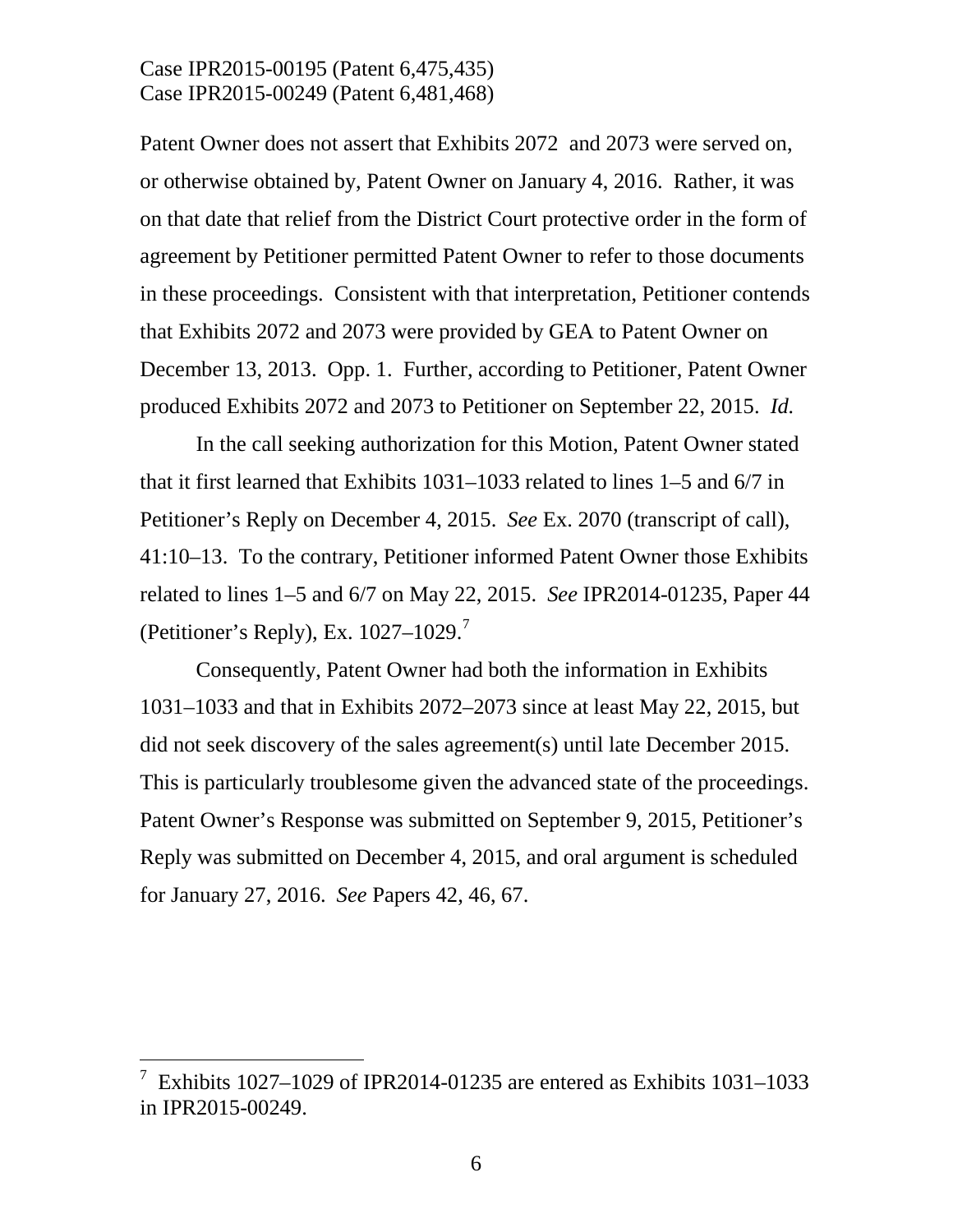Patent Owner does not assert that Exhibits 2072 and 2073 were served on, or otherwise obtained by, Patent Owner on January 4, 2016. Rather, it was on that date that relief from the District Court protective order in the form of agreement by Petitioner permitted Patent Owner to refer to those documents in these proceedings. Consistent with that interpretation, Petitioner contends that Exhibits 2072 and 2073 were provided by GEA to Patent Owner on December 13, 2013. Opp. 1. Further, according to Petitioner, Patent Owner produced Exhibits 2072 and 2073 to Petitioner on September 22, 2015. *Id.*

In the call seeking authorization for this Motion, Patent Owner stated that it first learned that Exhibits 1031–1033 related to lines 1–5 and 6/7 in Petitioner's Reply on December 4, 2015. *See* Ex. 2070 (transcript of call), 41:10–13. To the contrary, Petitioner informed Patent Owner those Exhibits related to lines 1–5 and 6/7 on May 22, 2015. *See* IPR2014-01235, Paper 44 (Petitioner's Reply), Ex.  $1027-1029$  $1027-1029$  $1027-1029$ .

Consequently, Patent Owner had both the information in Exhibits 1031–1033 and that in Exhibits 2072–2073 since at least May 22, 2015, but did not seek discovery of the sales agreement(s) until late December 2015. This is particularly troublesome given the advanced state of the proceedings. Patent Owner's Response was submitted on September 9, 2015, Petitioner's Reply was submitted on December 4, 2015, and oral argument is scheduled for January 27, 2016. *See* Papers 42, 46, 67.

<span id="page-5-0"></span> <sup>7</sup> Exhibits 1027–1029 of IPR2014-01235 are entered as Exhibits 1031–1033 in IPR2015-00249.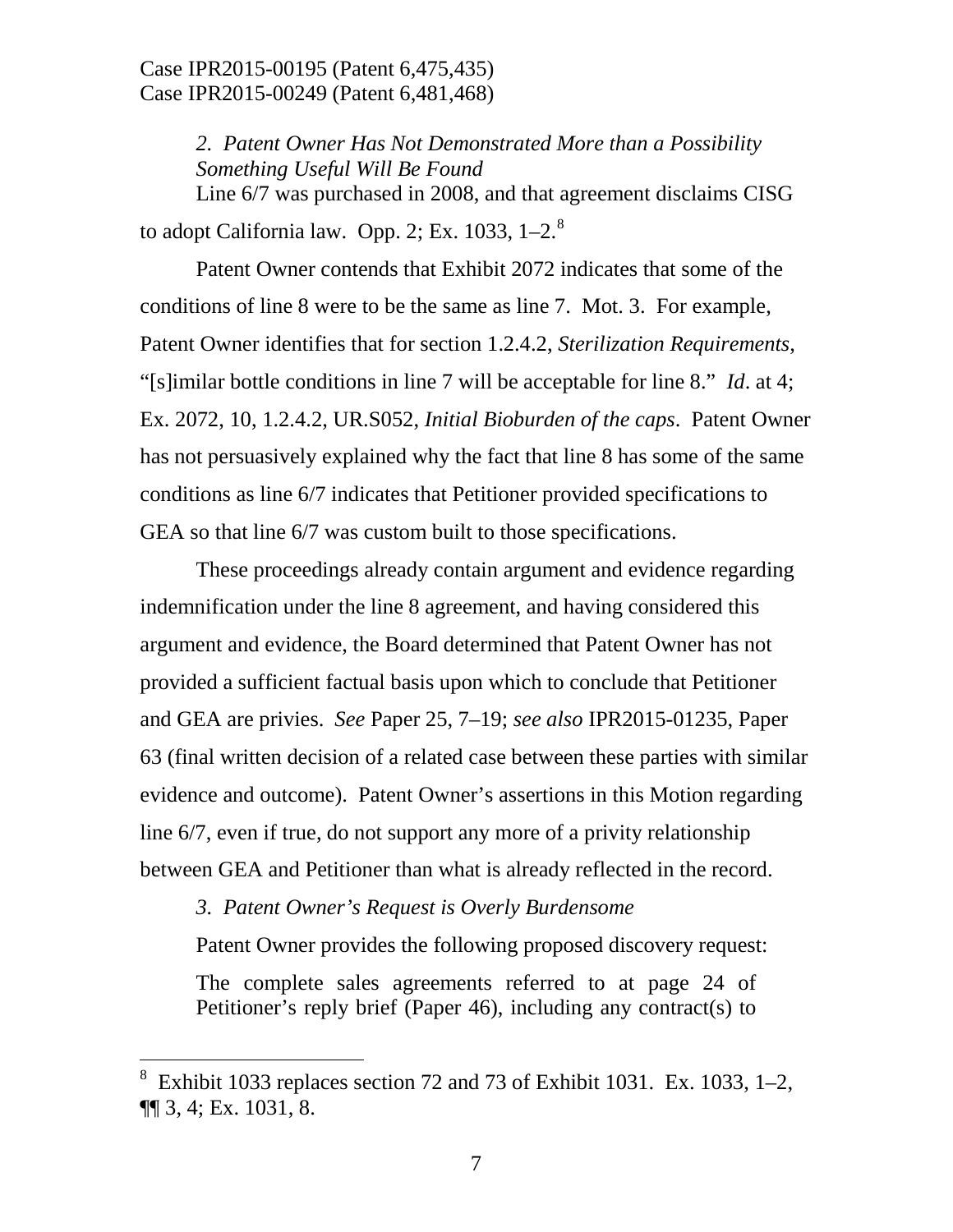*2. Patent Owner Has Not Demonstrated More than a Possibility Something Useful Will Be Found* Line 6/7 was purchased in 2008, and that agreement disclaims CISG to adopt California law. Opp. 2; Ex. 1033,  $1-2.^8$  $1-2.^8$ 

Patent Owner contends that Exhibit 2072 indicates that some of the conditions of line 8 were to be the same as line 7. Mot. 3. For example, Patent Owner identifies that for section 1.2.4.2, *Sterilization Requirements*, "[s]imilar bottle conditions in line 7 will be acceptable for line 8." *Id*. at 4; Ex. 2072, 10, 1.2.4.2, UR.S052, *Initial Bioburden of the caps*. Patent Owner has not persuasively explained why the fact that line 8 has some of the same conditions as line 6/7 indicates that Petitioner provided specifications to GEA so that line 6/7 was custom built to those specifications.

These proceedings already contain argument and evidence regarding indemnification under the line 8 agreement, and having considered this argument and evidence, the Board determined that Patent Owner has not provided a sufficient factual basis upon which to conclude that Petitioner and GEA are privies. *See* Paper 25, 7–19; *see also* IPR2015-01235, Paper 63 (final written decision of a related case between these parties with similar evidence and outcome). Patent Owner's assertions in this Motion regarding line 6/7, even if true, do not support any more of a privity relationship between GEA and Petitioner than what is already reflected in the record.

*3. Patent Owner's Request is Overly Burdensome*

Patent Owner provides the following proposed discovery request:

The complete sales agreements referred to at page 24 of Petitioner's reply brief (Paper 46), including any contract(s) to

<span id="page-6-0"></span> <sup>8</sup> Exhibit 1033 replaces section 72 and 73 of Exhibit 1031. Ex. 1033, 1–2, ¶¶ 3, 4; Ex. 1031, 8.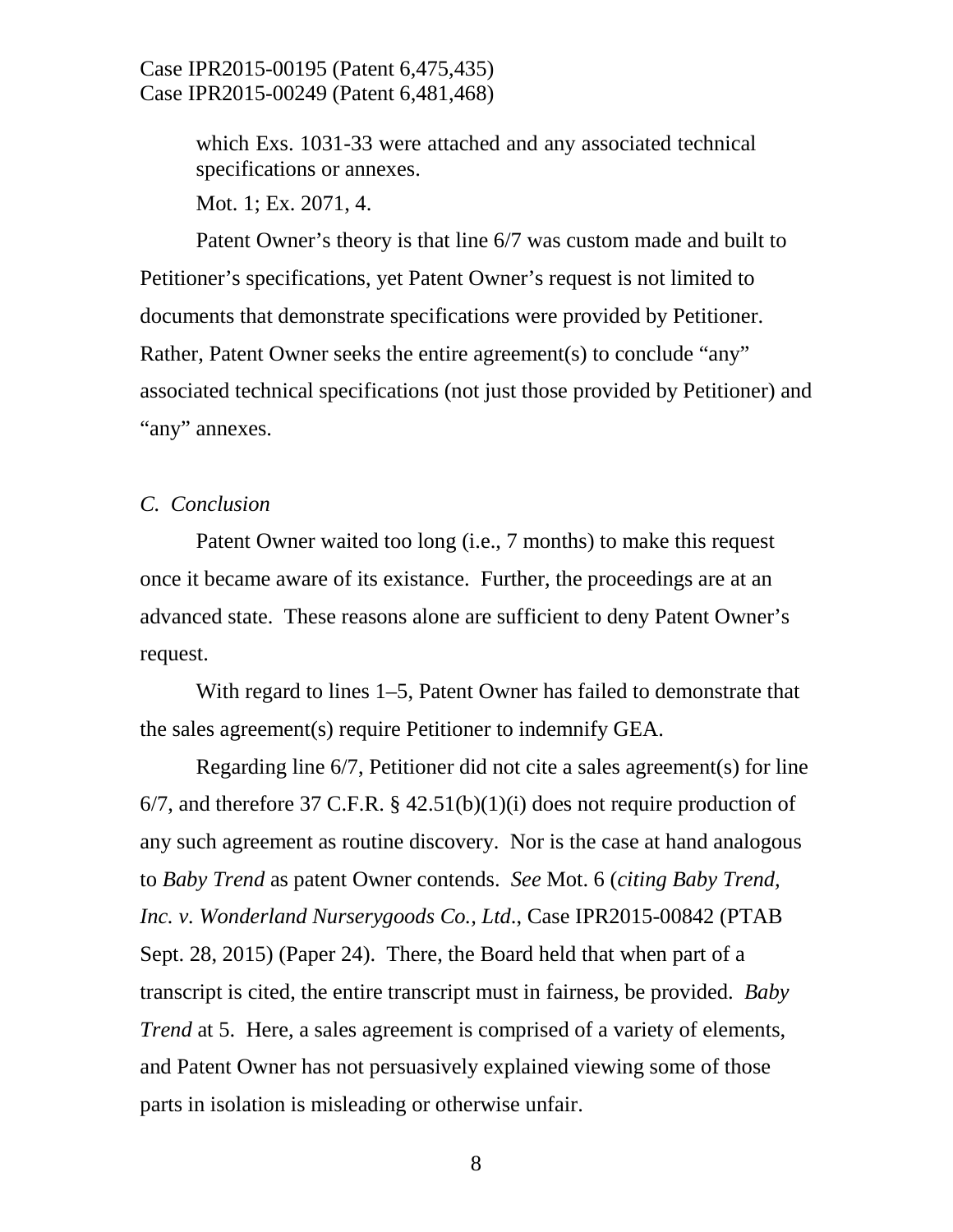> which Exs. 1031-33 were attached and any associated technical specifications or annexes.

Mot. 1; Ex. 2071, 4.

Patent Owner's theory is that line 6/7 was custom made and built to Petitioner's specifications, yet Patent Owner's request is not limited to documents that demonstrate specifications were provided by Petitioner. Rather, Patent Owner seeks the entire agreement(s) to conclude "any" associated technical specifications (not just those provided by Petitioner) and "any" annexes.

#### *C. Conclusion*

Patent Owner waited too long (i.e., 7 months) to make this request once it became aware of its existance. Further, the proceedings are at an advanced state. These reasons alone are sufficient to deny Patent Owner's request.

With regard to lines 1–5, Patent Owner has failed to demonstrate that the sales agreement(s) require Petitioner to indemnify GEA.

Regarding line 6/7, Petitioner did not cite a sales agreement(s) for line 6/7, and therefore 37 C.F.R.  $\S$  42.51(b)(1)(i) does not require production of any such agreement as routine discovery. Nor is the case at hand analogous to *Baby Trend* as patent Owner contends. *See* Mot. 6 (*citing Baby Trend, Inc. v. Wonderland Nurserygoods Co., Ltd*., Case IPR2015-00842 (PTAB Sept. 28, 2015) (Paper 24). There, the Board held that when part of a transcript is cited, the entire transcript must in fairness, be provided. *Baby Trend* at 5. Here, a sales agreement is comprised of a variety of elements, and Patent Owner has not persuasively explained viewing some of those parts in isolation is misleading or otherwise unfair.

8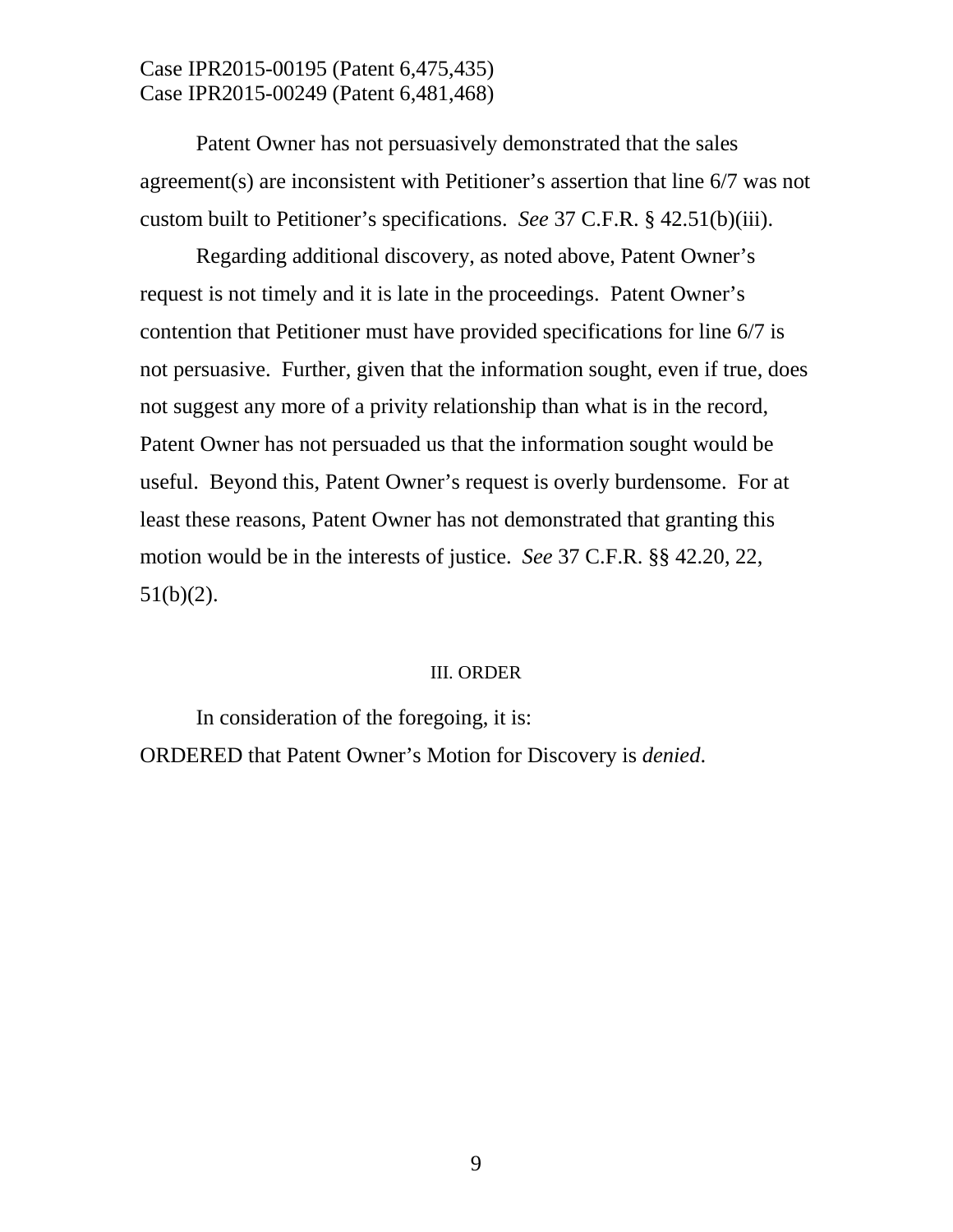Patent Owner has not persuasively demonstrated that the sales agreement(s) are inconsistent with Petitioner's assertion that line 6/7 was not custom built to Petitioner's specifications. *See* 37 C.F.R. § 42.51(b)(iii).

Regarding additional discovery, as noted above, Patent Owner's request is not timely and it is late in the proceedings. Patent Owner's contention that Petitioner must have provided specifications for line 6/7 is not persuasive. Further, given that the information sought, even if true, does not suggest any more of a privity relationship than what is in the record, Patent Owner has not persuaded us that the information sought would be useful. Beyond this, Patent Owner's request is overly burdensome. For at least these reasons, Patent Owner has not demonstrated that granting this motion would be in the interests of justice. *See* 37 C.F.R. §§ 42.20, 22,  $51(b)(2)$ .

#### III. ORDER

In consideration of the foregoing, it is: ORDERED that Patent Owner's Motion for Discovery is *denied*.